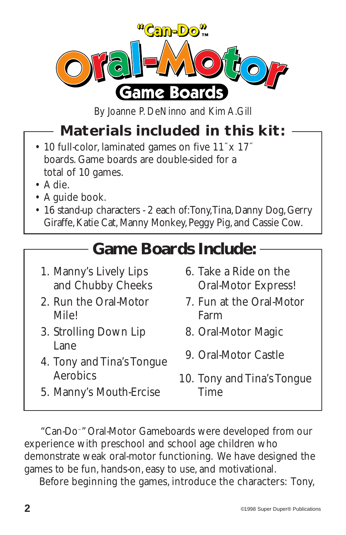

By Joanne P. DeNinno and Kim A.Gill

## **Materials included in this kit:**

- 10 full-color, laminated games on five 11˝x 17˝ boards. Game boards are double-sided for a total of 10 games.
- A die.
- A guide book.
- 16 stand-up characters 2 each of: Tony, Tina, Danny Dog, Gerry Giraffe, Katie Cat, Manny Monkey, Peggy Pig, and Cassie Cow.

## **Game Boards Include:**

- 1. Manny's Lively Lips and Chubby Cheeks
- 2. Run the Oral-Motor Mile!
- 3. Strolling Down Lip Lane
- 4. Tony and Tina's Tongue Aerobics
- 6. Take a Ride on the Oral-Motor Express!
- 7. Fun at the Oral-Motor Farm
- 8. Oral-Motor Magic
- 9. Oral-Motor Castle
- 10. Tony and Tina's Tongue Time
- 5. Manny's Mouth-Ercise

"Can-Do™" Oral-Motor Gameboards were developed from our experience with preschool and school age children who demonstrate weak oral-motor functioning. We have designed the games to be fun, hands-on, easy to use, and motivational.

Before beginning the games, introduce the characters: Tony,